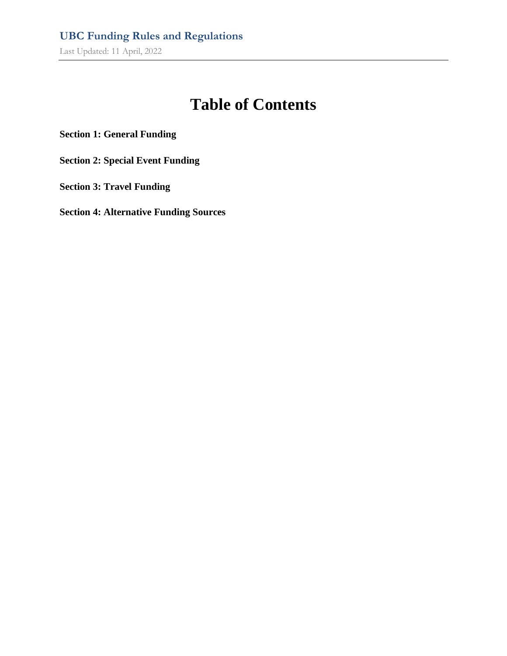# **Table of Contents**

**Section 1: General Funding**

**Section 2: Special Event Funding**

**Section 3: Travel Funding**

**Section 4: Alternative Funding Sources**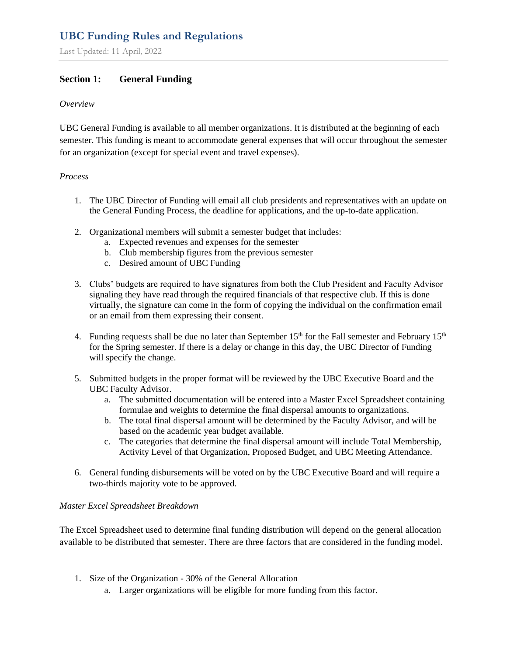Last Updated: 11 April, 2022

## **Section 1: General Funding**

#### *Overview*

UBC General Funding is available to all member organizations. It is distributed at the beginning of each semester. This funding is meant to accommodate general expenses that will occur throughout the semester for an organization (except for special event and travel expenses).

#### *Process*

- 1. The UBC Director of Funding will email all club presidents and representatives with an update on the General Funding Process, the deadline for applications, and the up-to-date application.
- 2. Organizational members will submit a semester budget that includes:
	- a. Expected revenues and expenses for the semester
	- b. Club membership figures from the previous semester
	- c. Desired amount of UBC Funding
- 3. Clubs' budgets are required to have signatures from both the Club President and Faculty Advisor signaling they have read through the required financials of that respective club. If this is done virtually, the signature can come in the form of copying the individual on the confirmation email or an email from them expressing their consent.
- 4. Funding requests shall be due no later than September  $15<sup>th</sup>$  for the Fall semester and February  $15<sup>th</sup>$ for the Spring semester. If there is a delay or change in this day, the UBC Director of Funding will specify the change.
- 5. Submitted budgets in the proper format will be reviewed by the UBC Executive Board and the UBC Faculty Advisor.
	- a. The submitted documentation will be entered into a Master Excel Spreadsheet containing formulae and weights to determine the final dispersal amounts to organizations.
	- b. The total final dispersal amount will be determined by the Faculty Advisor, and will be based on the academic year budget available.
	- c. The categories that determine the final dispersal amount will include Total Membership, Activity Level of that Organization, Proposed Budget, and UBC Meeting Attendance.
- 6. General funding disbursements will be voted on by the UBC Executive Board and will require a two-thirds majority vote to be approved.

#### *Master Excel Spreadsheet Breakdown*

The Excel Spreadsheet used to determine final funding distribution will depend on the general allocation available to be distributed that semester. There are three factors that are considered in the funding model.

- 1. Size of the Organization 30% of the General Allocation
	- a. Larger organizations will be eligible for more funding from this factor.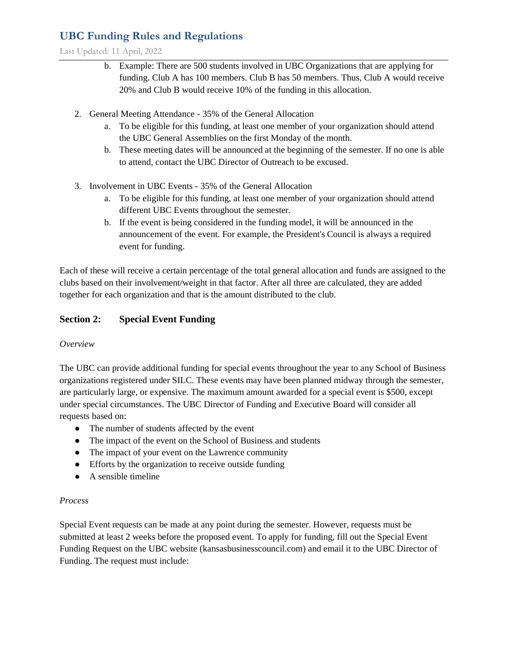Last Updated: 11 April, 2022

- b. Example: There are 500 students involved in UBC Organizations that are applying for funding. Club A has 100 members. Club B has 50 members. Thus, Club A would receive 20% and Club B would receive 10% of the funding in this allocation.
- 2. General Meeting Attendance 35% of the General Allocation
	- a. To be eligible for this funding, at least one member of your organization should attend the UBC General Assemblies on the first Monday of the month.
	- b. These meeting dates will be announced at the beginning of the semester. If no one is able to attend, contact the UBC Director of Outreach to be excused.
- 3. Involvement in UBC Events 35% of the General Allocation
	- a. To be eligible for this funding, at least one member of your organization should attend different UBC Events throughout the semester.
	- b. If the event is being considered in the funding model, it will be announced in the announcement of the event. For example, the President's Council is always a required event for funding.

Each of these will receive a certain percentage of the total general allocation and funds are assigned to the clubs based on their involvement/weight in that factor. After all three are calculated, they are added together for each organization and that is the amount distributed to the club.

### **Section 2: Special Event Funding**

#### *Overview*

The UBC can provide additional funding for special events throughout the year to any School of Business organizations registered under SILC. These events may have been planned midway through the semester, are particularly large, or expensive. The maximum amount awarded for a special event is \$500, except under special circumstances. The UBC Director of Funding and Executive Board will consider all requests based on:

- The number of students affected by the event
- The impact of the event on the School of Business and students
- The impact of your event on the Lawrence community
- Efforts by the organization to receive outside funding
- A sensible timeline

#### *Process*

Special Event requests can be made at any point during the semester. However, requests must be submitted at least 2 weeks before the proposed event. To apply for funding, fill out the Special Event Funding Request on the UBC website (kansasbusinesscouncil.com) and email it to the UBC Director of Funding. The request must include: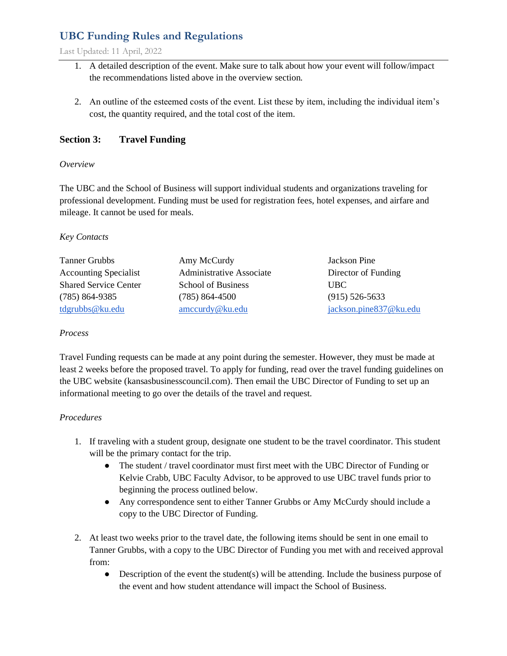Last Updated: 11 April, 2022

- 1. A detailed description of the event. Make sure to talk about how your event will follow/impact the recommendations listed above in the overview section.
- 2. An outline of the esteemed costs of the event. List these by item, including the individual item's cost, the quantity required, and the total cost of the item.

## **Section 3: Travel Funding**

#### *Overview*

The UBC and the School of Business will support individual students and organizations traveling for professional development. Funding must be used for registration fees, hotel expenses, and airfare and mileage. It cannot be used for meals.

#### *Key Contacts*

| <b>Tanner Grubbs</b>         | Amy McCurdy                     | Jackson Pine           |
|------------------------------|---------------------------------|------------------------|
| <b>Accounting Specialist</b> | <b>Administrative Associate</b> | Director of Funding    |
| <b>Shared Service Center</b> | <b>School of Business</b>       | UBC.                   |
| $(785) 864 - 9385$           | $(785)$ 864-4500                | $(915)$ 526-5633       |
| tdgrubbs@ku.edu              | amccurdy@ku.edu                 | jackson.pine837@ku.edu |

#### *Process*

Travel Funding requests can be made at any point during the semester. However, they must be made at least 2 weeks before the proposed travel. To apply for funding, read over the travel funding guidelines on the UBC website (kansasbusinesscouncil.com). Then email the UBC Director of Funding to set up an informational meeting to go over the details of the travel and request.

#### *Procedures*

- 1. If traveling with a student group, designate one student to be the travel coordinator. This student will be the primary contact for the trip.
	- The student / travel coordinator must first meet with the UBC Director of Funding or Kelvie Crabb, UBC Faculty Advisor, to be approved to use UBC travel funds prior to beginning the process outlined below.
	- Any correspondence sent to either Tanner Grubbs or Amy McCurdy should include a copy to the UBC Director of Funding.
- 2. At least two weeks prior to the travel date, the following items should be sent in one email to Tanner Grubbs, with a copy to the UBC Director of Funding you met with and received approval from:
	- Description of the event the student(s) will be attending. Include the business purpose of the event and how student attendance will impact the School of Business.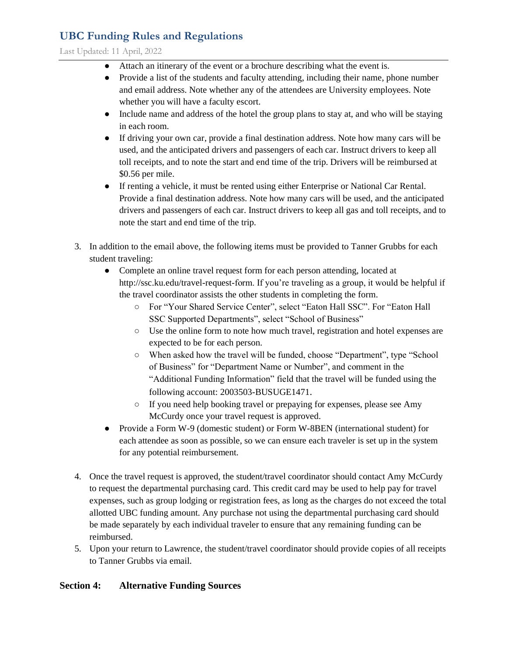Last Updated: 11 April, 2022

- Attach an itinerary of the event or a brochure describing what the event is.
- Provide a list of the students and faculty attending, including their name, phone number and email address. Note whether any of the attendees are University employees. Note whether you will have a faculty escort.
- Include name and address of the hotel the group plans to stay at, and who will be staying in each room.
- If driving your own car, provide a final destination address. Note how many cars will be used, and the anticipated drivers and passengers of each car. Instruct drivers to keep all toll receipts, and to note the start and end time of the trip. Drivers will be reimbursed at \$0.56 per mile.
- If renting a vehicle, it must be rented using either Enterprise or National Car Rental. Provide a final destination address. Note how many cars will be used, and the anticipated drivers and passengers of each car. Instruct drivers to keep all gas and toll receipts, and to note the start and end time of the trip.
- 3. In addition to the email above, the following items must be provided to Tanner Grubbs for each student traveling:
	- Complete an online travel request form for each person attending, located at http://ssc.ku.edu/travel-request-form. If you're traveling as a group, it would be helpful if the travel coordinator assists the other students in completing the form.
		- For "Your Shared Service Center", select "Eaton Hall SSC". For "Eaton Hall SSC Supported Departments", select "School of Business"
		- Use the online form to note how much travel, registration and hotel expenses are expected to be for each person.
		- When asked how the travel will be funded, choose "Department", type "School of Business" for "Department Name or Number", and comment in the "Additional Funding Information" field that the travel will be funded using the following account: 2003503-BUSUGE1471.
		- If you need help booking travel or prepaying for expenses, please see Amy McCurdy once your travel request is approved.
	- Provide a Form W-9 (domestic student) or Form W-8BEN (international student) for each attendee as soon as possible, so we can ensure each traveler is set up in the system for any potential reimbursement.
- 4. Once the travel request is approved, the student/travel coordinator should contact Amy McCurdy to request the departmental purchasing card. This credit card may be used to help pay for travel expenses, such as group lodging or registration fees, as long as the charges do not exceed the total allotted UBC funding amount. Any purchase not using the departmental purchasing card should be made separately by each individual traveler to ensure that any remaining funding can be reimbursed.
- 5. Upon your return to Lawrence, the student/travel coordinator should provide copies of all receipts to Tanner Grubbs via email.

## **Section 4: Alternative Funding Sources**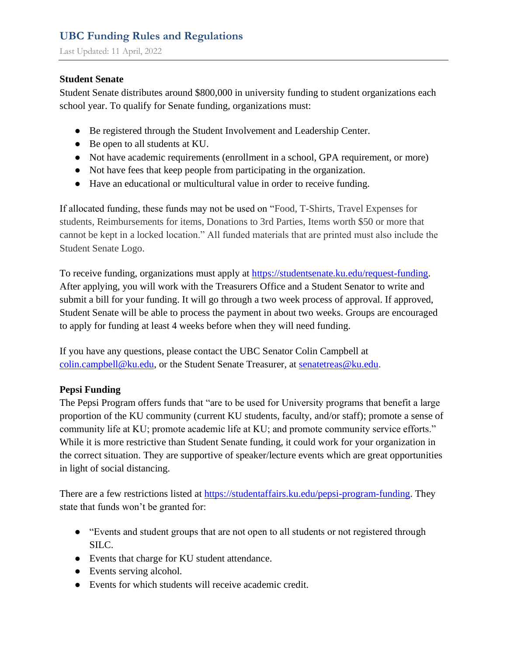## **Student Senate**

Student Senate distributes around \$800,000 in university funding to student organizations each school year. To qualify for Senate funding, organizations must:

- Be registered through the Student Involvement and Leadership Center.
- Be open to all students at KU.
- Not have academic requirements (enrollment in a school, GPA requirement, or more)
- Not have fees that keep people from participating in the organization.
- Have an educational or multicultural value in order to receive funding.

If allocated funding, these funds may not be used on "Food, T-Shirts, Travel Expenses for students, Reimbursements for items, Donations to 3rd Parties, Items worth \$50 or more that cannot be kept in a locked location." All funded materials that are printed must also include the Student Senate Logo.

To receive funding, organizations must apply at [https://studentsenate.ku.edu/request-funding.](https://studentsenate.ku.edu/request-funding) After applying, you will work with the Treasurers Office and a Student Senator to write and submit a bill for your funding. It will go through a two week process of approval. If approved, Student Senate will be able to process the payment in about two weeks. Groups are encouraged to apply for funding at least 4 weeks before when they will need funding.

If you have any questions, please contact the UBC Senator Colin Campbell at [colin.campbell@ku.edu,](mailto:colin.campbell@ku.edu) or the Student Senate Treasurer, at [senatetreas@ku.edu.](mailto:senatetreas@ku.edu)

## **Pepsi Funding**

The Pepsi Program offers funds that "are to be used for University programs that benefit a large proportion of the KU community (current KU students, faculty, and/or staff); promote a sense of community life at KU; promote academic life at KU; and promote community service efforts." While it is more restrictive than Student Senate funding, it could work for your organization in the correct situation. They are supportive of speaker/lecture events which are great opportunities in light of social distancing.

There are a few restrictions listed at [https://studentaffairs.ku.edu/pepsi-program-funding.](https://studentaffairs.ku.edu/pepsi-program-funding) They state that funds won't be granted for:

- "Events and student groups that are not open to all students or not registered through SILC.
- Events that charge for KU student attendance.
- Events serving alcohol.
- Events for which students will receive academic credit.